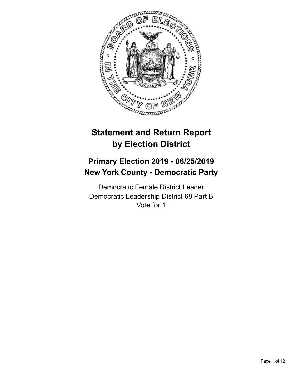

# **Statement and Return Report by Election District**

## **Primary Election 2019 - 06/25/2019 New York County - Democratic Party**

Democratic Female District Leader Democratic Leadership District 68 Part B Vote for 1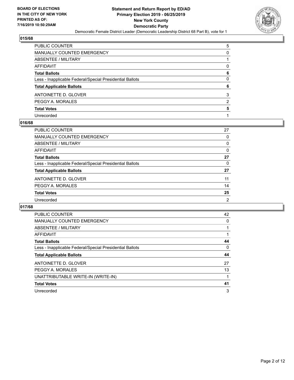

| PUBLIC COUNTER                                           | 5             |
|----------------------------------------------------------|---------------|
| <b>MANUALLY COUNTED EMERGENCY</b>                        | 0             |
| <b>ABSENTEE / MILITARY</b>                               |               |
| AFFIDAVIT                                                | 0             |
| <b>Total Ballots</b>                                     | 6             |
| Less - Inapplicable Federal/Special Presidential Ballots | $\Omega$      |
| <b>Total Applicable Ballots</b>                          | 6             |
| ANTOINETTE D. GLOVER                                     | 3             |
| PEGGY A. MORALES                                         | $\mathcal{P}$ |
| <b>Total Votes</b>                                       | 5             |
| Unrecorded                                               |               |

#### **016/68**

| <b>PUBLIC COUNTER</b>                                    | 27             |
|----------------------------------------------------------|----------------|
| <b>MANUALLY COUNTED EMERGENCY</b>                        | 0              |
| <b>ABSENTEE / MILITARY</b>                               | 0              |
| AFFIDAVIT                                                | $\Omega$       |
| <b>Total Ballots</b>                                     | 27             |
| Less - Inapplicable Federal/Special Presidential Ballots | 0              |
| <b>Total Applicable Ballots</b>                          | 27             |
| ANTOINETTE D. GLOVER                                     | 11             |
| PEGGY A. MORALES                                         | 14             |
| <b>Total Votes</b>                                       | 25             |
| Unrecorded                                               | $\overline{2}$ |

| <b>PUBLIC COUNTER</b>                                    | 42 |
|----------------------------------------------------------|----|
| <b>MANUALLY COUNTED EMERGENCY</b>                        | 0  |
| ABSENTEE / MILITARY                                      |    |
| AFFIDAVIT                                                |    |
| <b>Total Ballots</b>                                     | 44 |
| Less - Inapplicable Federal/Special Presidential Ballots | 0  |
|                                                          |    |
| <b>Total Applicable Ballots</b>                          | 44 |
| ANTOINETTE D. GLOVER                                     | 27 |
| PEGGY A. MORALES                                         | 13 |
| UNATTRIBUTABLE WRITE-IN (WRITE-IN)                       |    |
| <b>Total Votes</b>                                       | 41 |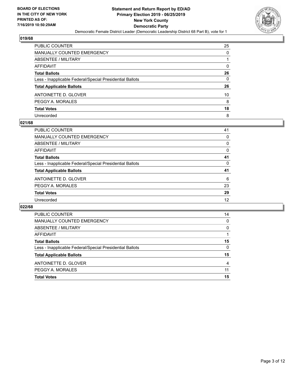

| PUBLIC COUNTER                                           | 25       |
|----------------------------------------------------------|----------|
| <b>MANUALLY COUNTED EMERGENCY</b>                        | $\Omega$ |
| <b>ABSENTEE / MILITARY</b>                               |          |
| <b>AFFIDAVIT</b>                                         | 0        |
| <b>Total Ballots</b>                                     | 26       |
| Less - Inapplicable Federal/Special Presidential Ballots | 0        |
| <b>Total Applicable Ballots</b>                          | 26       |
| ANTOINETTE D. GLOVER                                     | 10       |
| PEGGY A. MORALES                                         | 8        |
| <b>Total Votes</b>                                       | 18       |
| Unrecorded                                               | 8        |

#### **021/68**

| 41       |
|----------|
| 0        |
| 0        |
| $\Omega$ |
| 41       |
| 0        |
| 41       |
| 6        |
| 23       |
| 29       |
| 12       |
|          |

| <b>Total Votes</b>                                       | 15 |
|----------------------------------------------------------|----|
| PEGGY A. MORALES                                         | 11 |
| ANTOINETTE D. GLOVER                                     | 4  |
| <b>Total Applicable Ballots</b>                          | 15 |
| Less - Inapplicable Federal/Special Presidential Ballots | 0  |
| <b>Total Ballots</b>                                     | 15 |
| AFFIDAVIT                                                |    |
| ABSENTEE / MILITARY                                      | 0  |
| <b>MANUALLY COUNTED EMERGENCY</b>                        | 0  |
| PUBLIC COUNTER                                           | 14 |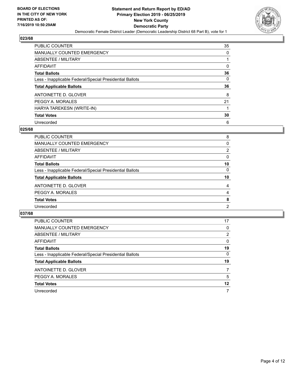

| <b>PUBLIC COUNTER</b>                                    | 35       |
|----------------------------------------------------------|----------|
| <b>MANUALLY COUNTED EMERGENCY</b>                        | 0        |
| ABSENTEE / MILITARY                                      |          |
| AFFIDAVIT                                                | $\Omega$ |
| <b>Total Ballots</b>                                     | 36       |
| Less - Inapplicable Federal/Special Presidential Ballots | 0        |
| <b>Total Applicable Ballots</b>                          | 36       |
| ANTOINETTE D. GLOVER                                     | 8        |
| PEGGY A. MORALES                                         | 21       |
|                                                          |          |
| HARYA TAREKESN (WRITE-IN)                                |          |
| <b>Total Votes</b>                                       | 30       |

#### **025/68**

| <b>PUBLIC COUNTER</b>                                    | 8              |
|----------------------------------------------------------|----------------|
| MANUALLY COUNTED EMERGENCY                               | 0              |
| ABSENTEE / MILITARY                                      | $\overline{2}$ |
| AFFIDAVIT                                                | 0              |
| <b>Total Ballots</b>                                     | 10             |
| Less - Inapplicable Federal/Special Presidential Ballots | 0              |
| <b>Total Applicable Ballots</b>                          | 10             |
| ANTOINETTE D. GLOVER                                     | 4              |
| PEGGY A. MORALES                                         | 4              |
| <b>Total Votes</b>                                       | 8              |
| Unrecorded                                               | $\overline{2}$ |

| PUBLIC COUNTER                                           | 17       |
|----------------------------------------------------------|----------|
| <b>MANUALLY COUNTED EMERGENCY</b>                        | 0        |
| ABSENTEE / MILITARY                                      | 2        |
| AFFIDAVIT                                                | 0        |
| <b>Total Ballots</b>                                     | 19       |
| Less - Inapplicable Federal/Special Presidential Ballots | $\Omega$ |
| <b>Total Applicable Ballots</b>                          | 19       |
| ANTOINETTE D. GLOVER                                     |          |
| PEGGY A. MORALES                                         | 5        |
| <b>Total Votes</b>                                       | 12       |
| Unrecorded                                               | 7        |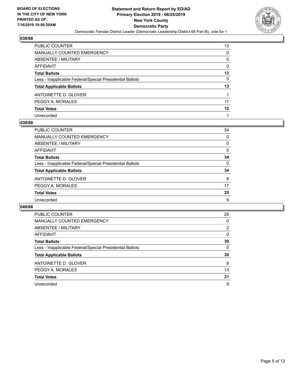

| PUBLIC COUNTER                                           | 13       |
|----------------------------------------------------------|----------|
| <b>MANUALLY COUNTED EMERGENCY</b>                        | 0        |
| <b>ABSENTEE / MILITARY</b>                               | 0        |
| <b>AFFIDAVIT</b>                                         | 0        |
| <b>Total Ballots</b>                                     | 13       |
| Less - Inapplicable Federal/Special Presidential Ballots | $\Omega$ |
| <b>Total Applicable Ballots</b>                          | 13       |
| ANTOINETTE D. GLOVER                                     |          |
| PEGGY A. MORALES                                         | 11       |
| <b>Total Votes</b>                                       | 12       |
| Unrecorded                                               |          |

#### **039/68**

| <b>PUBLIC COUNTER</b>                                    | 34       |
|----------------------------------------------------------|----------|
| <b>MANUALLY COUNTED EMERGENCY</b>                        | $\Omega$ |
| <b>ABSENTEE / MILITARY</b>                               | 0        |
| AFFIDAVIT                                                | $\Omega$ |
| <b>Total Ballots</b>                                     | 34       |
| Less - Inapplicable Federal/Special Presidential Ballots | 0        |
| <b>Total Applicable Ballots</b>                          | 34       |
| ANTOINETTE D. GLOVER                                     | 8        |
| PEGGY A. MORALES                                         | 17       |
| <b>Total Votes</b>                                       | 25       |
| Unrecorded                                               | 9        |

| PUBLIC COUNTER                                           | 28             |
|----------------------------------------------------------|----------------|
| <b>MANUALLY COUNTED EMERGENCY</b>                        | 0              |
| ABSENTEE / MILITARY                                      | $\overline{2}$ |
| <b>AFFIDAVIT</b>                                         | $\Omega$       |
| <b>Total Ballots</b>                                     | 30             |
| Less - Inapplicable Federal/Special Presidential Ballots | $\Omega$       |
|                                                          |                |
| <b>Total Applicable Ballots</b>                          | 30             |
| ANTOINETTE D. GLOVER                                     | 8              |
| PEGGY A. MORALES                                         | 13             |
| <b>Total Votes</b>                                       | 21             |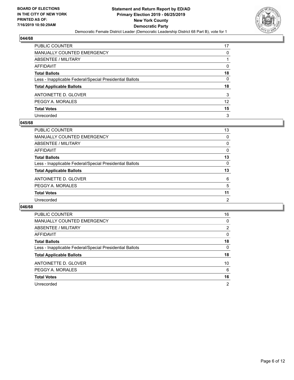

| PUBLIC COUNTER                                           | 17       |
|----------------------------------------------------------|----------|
| <b>MANUALLY COUNTED EMERGENCY</b>                        | 0        |
| ABSENTEE / MILITARY                                      |          |
| AFFIDAVIT                                                | 0        |
| <b>Total Ballots</b>                                     | 18       |
| Less - Inapplicable Federal/Special Presidential Ballots | $\Omega$ |
| <b>Total Applicable Ballots</b>                          | 18       |
| ANTOINETTE D. GLOVER                                     | 3        |
| PEGGY A. MORALES                                         | 12       |
| <b>Total Votes</b>                                       | 15       |
| Unrecorded                                               | 3        |

#### **045/68**

| <b>PUBLIC COUNTER</b>                                    | 13             |
|----------------------------------------------------------|----------------|
| <b>MANUALLY COUNTED EMERGENCY</b>                        | $\Omega$       |
| <b>ABSENTEE / MILITARY</b>                               | 0              |
| AFFIDAVIT                                                | 0              |
| <b>Total Ballots</b>                                     | 13             |
| Less - Inapplicable Federal/Special Presidential Ballots | 0              |
| <b>Total Applicable Ballots</b>                          | 13             |
| ANTOINETTE D. GLOVER                                     | 6              |
| PEGGY A. MORALES                                         | 5              |
| <b>Total Votes</b>                                       | 11             |
| Unrecorded                                               | $\overline{2}$ |

| <b>PUBLIC COUNTER</b>                                    | 16             |
|----------------------------------------------------------|----------------|
| <b>MANUALLY COUNTED EMERGENCY</b>                        | 0              |
| ABSENTEE / MILITARY                                      | 2              |
| AFFIDAVIT                                                | 0              |
| <b>Total Ballots</b>                                     | 18             |
| Less - Inapplicable Federal/Special Presidential Ballots | 0              |
| <b>Total Applicable Ballots</b>                          | 18             |
| ANTOINETTE D. GLOVER                                     | 10             |
| PEGGY A. MORALES                                         | 6              |
| <b>Total Votes</b>                                       | 16             |
| Unrecorded                                               | $\overline{2}$ |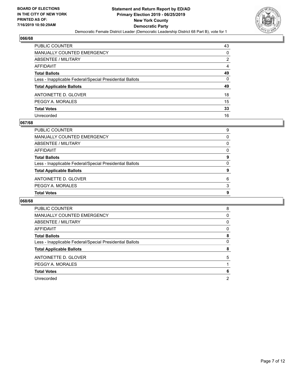

| PUBLIC COUNTER                                           | 43 |
|----------------------------------------------------------|----|
| <b>MANUALLY COUNTED EMERGENCY</b>                        | 0  |
| <b>ABSENTEE / MILITARY</b>                               | 2  |
| <b>AFFIDAVIT</b>                                         | 4  |
| <b>Total Ballots</b>                                     | 49 |
| Less - Inapplicable Federal/Special Presidential Ballots | 0  |
| <b>Total Applicable Ballots</b>                          | 49 |
| ANTOINETTE D. GLOVER                                     | 18 |
| PEGGY A. MORALES                                         | 15 |
| <b>Total Votes</b>                                       | 33 |
| Unrecorded                                               | 16 |

#### **067/68**

| <b>Total Votes</b>                                       | 9 |
|----------------------------------------------------------|---|
| PEGGY A. MORALES                                         | 3 |
| ANTOINETTE D. GLOVER                                     | 6 |
| <b>Total Applicable Ballots</b>                          | 9 |
| Less - Inapplicable Federal/Special Presidential Ballots | 0 |
| <b>Total Ballots</b>                                     | 9 |
| AFFIDAVIT                                                | 0 |
| ABSENTEE / MILITARY                                      | 0 |
| MANUALLY COUNTED EMERGENCY                               | 0 |
| PUBLIC COUNTER                                           | 9 |

| <b>PUBLIC COUNTER</b>                                    | 8              |
|----------------------------------------------------------|----------------|
| <b>MANUALLY COUNTED EMERGENCY</b>                        | 0              |
| ABSENTEE / MILITARY                                      | 0              |
| AFFIDAVIT                                                | 0              |
| <b>Total Ballots</b>                                     | 8              |
| Less - Inapplicable Federal/Special Presidential Ballots | 0              |
| <b>Total Applicable Ballots</b>                          | 8              |
| ANTOINETTE D. GLOVER                                     | 5              |
| PEGGY A. MORALES                                         |                |
| <b>Total Votes</b>                                       | 6              |
| Unrecorded                                               | $\overline{2}$ |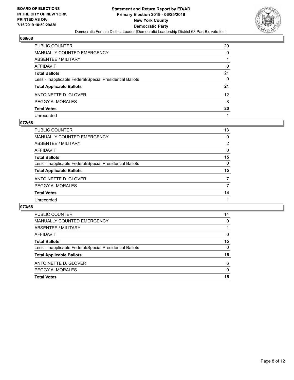

| PUBLIC COUNTER                                           | 20 |
|----------------------------------------------------------|----|
| <b>MANUALLY COUNTED EMERGENCY</b>                        | 0  |
| <b>ABSENTEE / MILITARY</b>                               |    |
| <b>AFFIDAVIT</b>                                         | 0  |
| <b>Total Ballots</b>                                     | 21 |
| Less - Inapplicable Federal/Special Presidential Ballots | 0  |
| <b>Total Applicable Ballots</b>                          | 21 |
| ANTOINETTE D. GLOVER                                     | 12 |
| PEGGY A. MORALES                                         | 8  |
| <b>Total Votes</b>                                       | 20 |
| Unrecorded                                               |    |

#### **072/68**

| <b>PUBLIC COUNTER</b>                                    | 13             |
|----------------------------------------------------------|----------------|
| <b>MANUALLY COUNTED EMERGENCY</b>                        | $\Omega$       |
| ABSENTEE / MILITARY                                      | $\overline{2}$ |
| AFFIDAVIT                                                | $\Omega$       |
| <b>Total Ballots</b>                                     | 15             |
| Less - Inapplicable Federal/Special Presidential Ballots | $\Omega$       |
| <b>Total Applicable Ballots</b>                          | 15             |
| ANTOINETTE D. GLOVER                                     |                |
| PEGGY A. MORALES                                         | 7              |
| <b>Total Votes</b>                                       | 14             |
| Unrecorded                                               |                |

| <b>PUBLIC COUNTER</b>                                    | 14       |
|----------------------------------------------------------|----------|
| <b>MANUALLY COUNTED EMERGENCY</b>                        | 0        |
| ABSENTEE / MILITARY                                      |          |
| AFFIDAVIT                                                | $\Omega$ |
| <b>Total Ballots</b>                                     | 15       |
| Less - Inapplicable Federal/Special Presidential Ballots | 0        |
| <b>Total Applicable Ballots</b>                          | 15       |
| ANTOINETTE D. GLOVER                                     | 6        |
| PEGGY A. MORALES                                         | 9        |
| <b>Total Votes</b>                                       | 15       |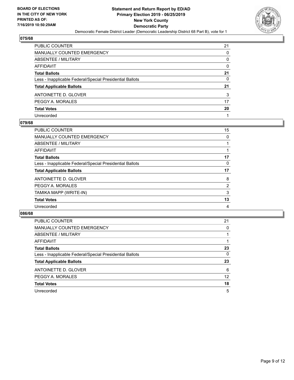

| PUBLIC COUNTER                                           | 21       |
|----------------------------------------------------------|----------|
| <b>MANUALLY COUNTED EMERGENCY</b>                        | 0        |
| ABSENTEE / MILITARY                                      | 0        |
| <b>AFFIDAVIT</b>                                         | 0        |
| <b>Total Ballots</b>                                     | 21       |
| Less - Inapplicable Federal/Special Presidential Ballots | $\Omega$ |
| <b>Total Applicable Ballots</b>                          | 21       |
| ANTOINETTE D. GLOVER                                     | 3        |
| PEGGY A. MORALES                                         | 17       |
| <b>Total Votes</b>                                       | 20       |
| Unrecorded                                               |          |

#### **079/68**

| <b>PUBLIC COUNTER</b>                                    | 15 |
|----------------------------------------------------------|----|
| <b>MANUALLY COUNTED EMERGENCY</b>                        | 0  |
| ABSENTEE / MILITARY                                      |    |
| AFFIDAVIT                                                |    |
| <b>Total Ballots</b>                                     | 17 |
| Less - Inapplicable Federal/Special Presidential Ballots | 0  |
| <b>Total Applicable Ballots</b>                          | 17 |
| ANTOINETTE D. GLOVER                                     | 8  |
| PEGGY A. MORALES                                         | 2  |
| TAMIKA MAPP (WRITE-IN)                                   | 3  |
| <b>Total Votes</b>                                       | 13 |
| Unrecorded                                               | 4  |

| <b>PUBLIC COUNTER</b>                                    | 21                |
|----------------------------------------------------------|-------------------|
| MANUALLY COUNTED EMERGENCY                               | 0                 |
| ABSENTEE / MILITARY                                      |                   |
| AFFIDAVIT                                                |                   |
| <b>Total Ballots</b>                                     | 23                |
| Less - Inapplicable Federal/Special Presidential Ballots | $\Omega$          |
| <b>Total Applicable Ballots</b>                          | 23                |
| ANTOINETTE D. GLOVER                                     | 6                 |
| PEGGY A. MORALES                                         | $12 \overline{ }$ |
| <b>Total Votes</b>                                       | 18                |
| Unrecorded                                               | 5                 |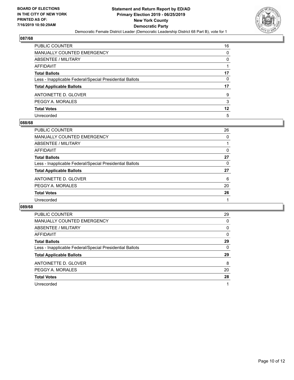

| PUBLIC COUNTER                                           | 16 |
|----------------------------------------------------------|----|
| <b>MANUALLY COUNTED EMERGENCY</b>                        | 0  |
| <b>ABSENTEE / MILITARY</b>                               | 0  |
| <b>AFFIDAVIT</b>                                         |    |
| <b>Total Ballots</b>                                     | 17 |
| Less - Inapplicable Federal/Special Presidential Ballots | 0  |
| <b>Total Applicable Ballots</b>                          | 17 |
| ANTOINETTE D. GLOVER                                     | 9  |
| PEGGY A. MORALES                                         | 3  |
| <b>Total Votes</b>                                       | 12 |
| Unrecorded                                               | 5  |

#### **088/68**

| <b>PUBLIC COUNTER</b>                                    | 26       |
|----------------------------------------------------------|----------|
| <b>MANUALLY COUNTED EMERGENCY</b>                        | 0        |
| <b>ABSENTEE / MILITARY</b>                               |          |
| AFFIDAVIT                                                | $\Omega$ |
| <b>Total Ballots</b>                                     | 27       |
| Less - Inapplicable Federal/Special Presidential Ballots | 0        |
| <b>Total Applicable Ballots</b>                          | 27       |
| ANTOINETTE D. GLOVER                                     | 6        |
| PEGGY A. MORALES                                         | 20       |
| <b>Total Votes</b>                                       | 26       |
| Unrecorded                                               |          |

| <b>PUBLIC COUNTER</b>                                    | 29       |
|----------------------------------------------------------|----------|
| <b>MANUALLY COUNTED EMERGENCY</b>                        | $\Omega$ |
| ABSENTEE / MILITARY                                      | 0        |
| <b>AFFIDAVIT</b>                                         | $\Omega$ |
| <b>Total Ballots</b>                                     | 29       |
| Less - Inapplicable Federal/Special Presidential Ballots | 0        |
| <b>Total Applicable Ballots</b>                          | 29       |
| ANTOINETTE D. GLOVER                                     | 8        |
| PEGGY A. MORALES                                         | 20       |
| <b>Total Votes</b>                                       | 28       |
| Unrecorded                                               | 1        |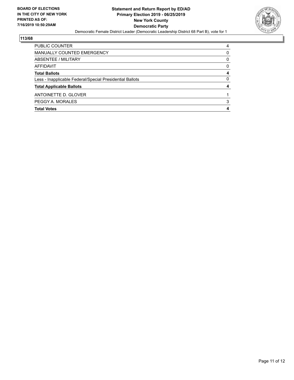

| <b>PUBLIC COUNTER</b>                                    | 4 |
|----------------------------------------------------------|---|
| MANUALLY COUNTED EMERGENCY                               | 0 |
| ABSENTEE / MILITARY                                      | 0 |
| AFFIDAVIT                                                | 0 |
| <b>Total Ballots</b>                                     | 4 |
| Less - Inapplicable Federal/Special Presidential Ballots | 0 |
| <b>Total Applicable Ballots</b>                          |   |
| ANTOINETTE D. GLOVER                                     |   |
| PEGGY A. MORALES                                         | 3 |
| <b>Total Votes</b>                                       |   |